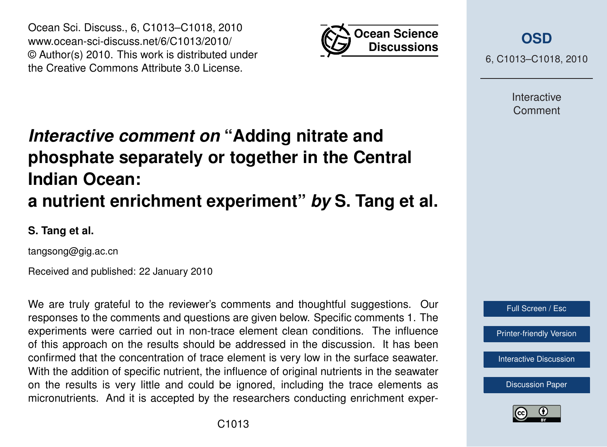



**[OSD](http://www.ocean-sci-discuss.net)**

6, C1013–C1018, 2010

Interactive Comment

# *Interactive comment on* **"Adding nitrate and phosphate separately or together in the Central Indian Ocean: a nutrient enrichment experiment"** *by* **S. Tang et al.**

**S. Tang et al.**

tangsong@gig.ac.cn

Received and published: 22 January 2010

We are truly grateful to the reviewer's comments and thoughtful suggestions. Our responses to the comments and questions are given below. Specific comments 1. The experiments were carried out in non-trace element clean conditions. The influence of this approach on the results should be addressed in the discussion. It has been confirmed that the concentration of trace element is very low in the surface seawater. With the addition of specific nutrient, the influence of original nutrients in the seawater on the results is very little and could be ignored, including the trace elements as micronutrients. And it is accepted by the researchers conducting enrichment exper-



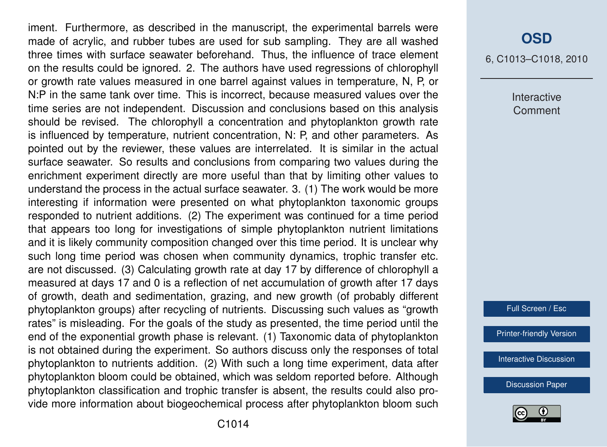iment. Furthermore, as described in the manuscript, the experimental barrels were made of acrylic, and rubber tubes are used for sub sampling. They are all washed three times with surface seawater beforehand. Thus, the influence of trace element on the results could be ignored. 2. The authors have used regressions of chlorophyll or growth rate values measured in one barrel against values in temperature, N, P, or N:P in the same tank over time. This is incorrect, because measured values over the time series are not independent. Discussion and conclusions based on this analysis should be revised. The chlorophyll a concentration and phytoplankton growth rate is influenced by temperature, nutrient concentration, N: P, and other parameters. As pointed out by the reviewer, these values are interrelated. It is similar in the actual surface seawater. So results and conclusions from comparing two values during the enrichment experiment directly are more useful than that by limiting other values to understand the process in the actual surface seawater. 3. (1) The work would be more interesting if information were presented on what phytoplankton taxonomic groups responded to nutrient additions. (2) The experiment was continued for a time period that appears too long for investigations of simple phytoplankton nutrient limitations and it is likely community composition changed over this time period. It is unclear why such long time period was chosen when community dynamics, trophic transfer etc. are not discussed. (3) Calculating growth rate at day 17 by difference of chlorophyll a measured at days 17 and 0 is a reflection of net accumulation of growth after 17 days of growth, death and sedimentation, grazing, and new growth (of probably different phytoplankton groups) after recycling of nutrients. Discussing such values as "growth rates" is misleading. For the goals of the study as presented, the time period until the end of the exponential growth phase is relevant. (1) Taxonomic data of phytoplankton is not obtained during the experiment. So authors discuss only the responses of total phytoplankton to nutrients addition. (2) With such a long time experiment, data after phytoplankton bloom could be obtained, which was seldom reported before. Although phytoplankton classification and trophic transfer is absent, the results could also provide more information about biogeochemical process after phytoplankton bloom such

#### **[OSD](http://www.ocean-sci-discuss.net)**

6, C1013–C1018, 2010

Interactive Comment

Full Screen / Esc

[Printer-friendly Version](http://www.ocean-sci-discuss.net/6/C1013/2010/osd-6-C1013-2010-print.pdf)

[Interactive Discussion](http://www.ocean-sci-discuss.net/6/2649/2009/osd-6-2649-2009-discussion.html)

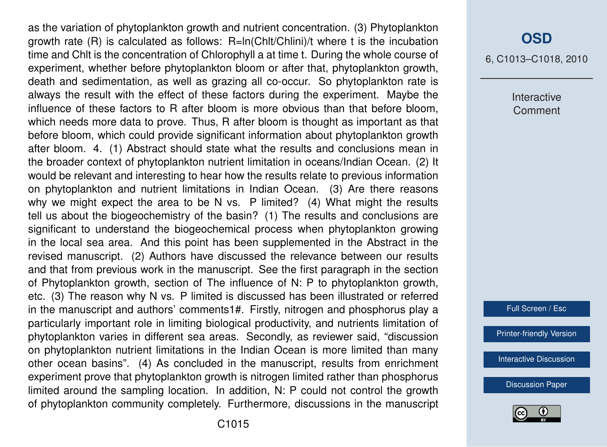as the variation of phytoplankton growth and nutrient concentration. (3) Phytoplankton growth rate (R) is calculated as follows: R=ln(Chlt/Chlini)/t where t is the incubation time and Chlt is the concentration of Chlorophyll a at time t. During the whole course of experiment, whether before phytoplankton bloom or after that, phytoplankton growth, death and sedimentation, as well as grazing all co-occur. So phytoplankton rate is always the result with the effect of these factors during the experiment. Maybe the influence of these factors to R after bloom is more obvious than that before bloom, which needs more data to prove. Thus, R after bloom is thought as important as that before bloom, which could provide significant information about phytoplankton growth after bloom. 4. (1) Abstract should state what the results and conclusions mean in the broader context of phytoplankton nutrient limitation in oceans/Indian Ocean. (2) It would be relevant and interesting to hear how the results relate to previous information on phytoplankton and nutrient limitations in Indian Ocean. (3) Are there reasons why we might expect the area to be N vs. P limited? (4) What might the results tell us about the biogeochemistry of the basin? (1) The results and conclusions are significant to understand the biogeochemical process when phytoplankton growing in the local sea area. And this point has been supplemented in the Abstract in the revised manuscript. (2) Authors have discussed the relevance between our results and that from previous work in the manuscript. See the first paragraph in the section of Phytoplankton growth, section of The influence of N: P to phytoplankton growth, etc. (3) The reason why N vs. P limited is discussed has been illustrated or referred in the manuscript and authors' comments1#. Firstly, nitrogen and phosphorus play a particularly important role in limiting biological productivity, and nutrients limitation of phytoplankton varies in different sea areas. Secondly, as reviewer said, "discussion on phytoplankton nutrient limitations in the Indian Ocean is more limited than many other ocean basins". (4) As concluded in the manuscript, results from enrichment experiment prove that phytoplankton growth is nitrogen limited rather than phosphorus limited around the sampling location. In addition, N: P could not control the growth of phytoplankton community completely. Furthermore, discussions in the manuscript

### **[OSD](http://www.ocean-sci-discuss.net)**

6, C1013–C1018, 2010

Interactive Comment

Full Screen / Esc

[Printer-friendly Version](http://www.ocean-sci-discuss.net/6/C1013/2010/osd-6-C1013-2010-print.pdf)

[Interactive Discussion](http://www.ocean-sci-discuss.net/6/2649/2009/osd-6-2649-2009-discussion.html)

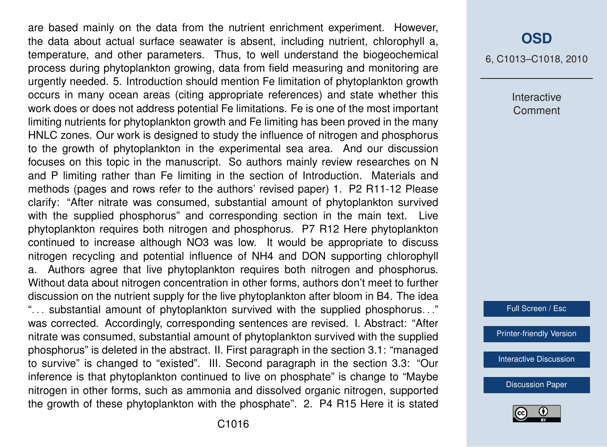are based mainly on the data from the nutrient enrichment experiment. However, the data about actual surface seawater is absent, including nutrient, chlorophyll a, temperature, and other parameters. Thus, to well understand the biogeochemical process during phytoplankton growing, data from field measuring and monitoring are urgently needed. 5. Introduction should mention Fe limitation of phytoplankton growth occurs in many ocean areas (citing appropriate references) and state whether this work does or does not address potential Fe limitations. Fe is one of the most important limiting nutrients for phytoplankton growth and Fe limiting has been proved in the many HNLC zones. Our work is designed to study the influence of nitrogen and phosphorus to the growth of phytoplankton in the experimental sea area. And our discussion focuses on this topic in the manuscript. So authors mainly review researches on N and P limiting rather than Fe limiting in the section of Introduction. Materials and methods (pages and rows refer to the authors' revised paper) 1. P2 R11-12 Please clarify: "After nitrate was consumed, substantial amount of phytoplankton survived with the supplied phosphorus" and corresponding section in the main text. Live phytoplankton requires both nitrogen and phosphorus. P7 R12 Here phytoplankton continued to increase although NO3 was low. It would be appropriate to discuss nitrogen recycling and potential influence of NH4 and DON supporting chlorophyll a. Authors agree that live phytoplankton requires both nitrogen and phosphorus. Without data about nitrogen concentration in other forms, authors don't meet to further discussion on the nutrient supply for the live phytoplankton after bloom in B4. The idea ". . . substantial amount of phytoplankton survived with the supplied phosphorus. . ." was corrected. Accordingly, corresponding sentences are revised. I. Abstract: "After nitrate was consumed, substantial amount of phytoplankton survived with the supplied phosphorus" is deleted in the abstract. II. First paragraph in the section 3.1: "managed to survive" is changed to "existed". III. Second paragraph in the section 3.3: "Our inference is that phytoplankton continued to live on phosphate" is change to "Maybe nitrogen in other forms, such as ammonia and dissolved organic nitrogen, supported the growth of these phytoplankton with the phosphate". 2. P4 R15 Here it is stated

#### **[OSD](http://www.ocean-sci-discuss.net)**

6, C1013–C1018, 2010

Interactive Comment

Full Screen / Esc

[Printer-friendly Version](http://www.ocean-sci-discuss.net/6/C1013/2010/osd-6-C1013-2010-print.pdf)

[Interactive Discussion](http://www.ocean-sci-discuss.net/6/2649/2009/osd-6-2649-2009-discussion.html)

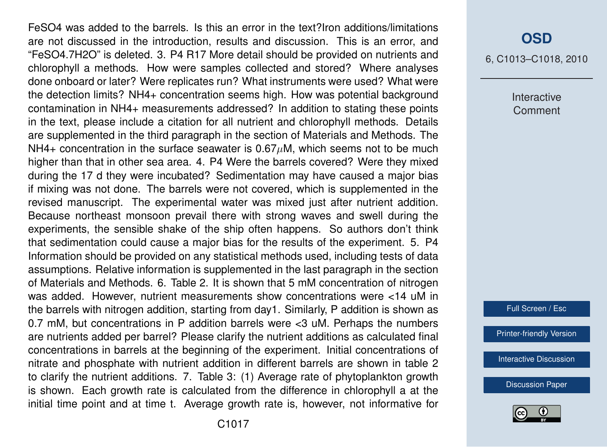FeSO4 was added to the barrels. Is this an error in the text?Iron additions/limitations are not discussed in the introduction, results and discussion. This is an error, and "FeSO4.7H2O" is deleted. 3. P4 R17 More detail should be provided on nutrients and chlorophyll a methods. How were samples collected and stored? Where analyses done onboard or later? Were replicates run? What instruments were used? What were the detection limits? NH4+ concentration seems high. How was potential background contamination in NH4+ measurements addressed? In addition to stating these points in the text, please include a citation for all nutrient and chlorophyll methods. Details are supplemented in the third paragraph in the section of Materials and Methods. The NH4+ concentration in the surface seawater is  $0.67\mu$ M, which seems not to be much higher than that in other sea area. 4. P4 Were the barrels covered? Were they mixed during the 17 d they were incubated? Sedimentation may have caused a major bias if mixing was not done. The barrels were not covered, which is supplemented in the revised manuscript. The experimental water was mixed just after nutrient addition. Because northeast monsoon prevail there with strong waves and swell during the experiments, the sensible shake of the ship often happens. So authors don't think that sedimentation could cause a major bias for the results of the experiment. 5. P4 Information should be provided on any statistical methods used, including tests of data assumptions. Relative information is supplemented in the last paragraph in the section of Materials and Methods. 6. Table 2. It is shown that 5 mM concentration of nitrogen was added. However, nutrient measurements show concentrations were <14 uM in the barrels with nitrogen addition, starting from day1. Similarly, P addition is shown as 0.7 mM, but concentrations in P addition barrels were <3 uM. Perhaps the numbers are nutrients added per barrel? Please clarify the nutrient additions as calculated final concentrations in barrels at the beginning of the experiment. Initial concentrations of nitrate and phosphate with nutrient addition in different barrels are shown in table 2 to clarify the nutrient additions. 7. Table 3: (1) Average rate of phytoplankton growth is shown. Each growth rate is calculated from the difference in chlorophyll a at the initial time point and at time t. Average growth rate is, however, not informative for

## **[OSD](http://www.ocean-sci-discuss.net)**

6, C1013–C1018, 2010

Interactive Comment

Full Screen / Esc

[Printer-friendly Version](http://www.ocean-sci-discuss.net/6/C1013/2010/osd-6-C1013-2010-print.pdf)

[Interactive Discussion](http://www.ocean-sci-discuss.net/6/2649/2009/osd-6-2649-2009-discussion.html)